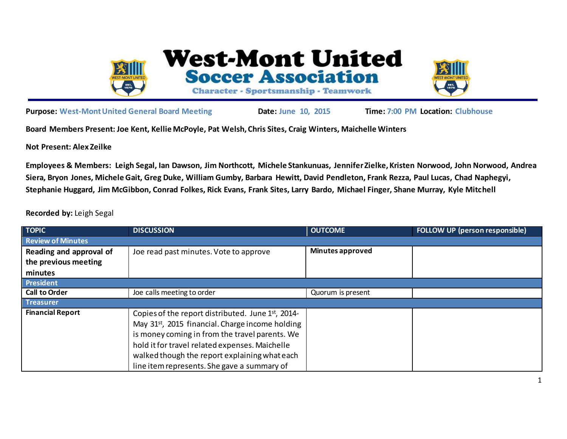

l,

**West-Mont United Soccer Association** 

Character - Sportsmanship - Teamwork



**Purpose: West-Mont United General Board Meeting Date: June 10, 2015 Time: 7:00 PM Location: Clubhouse**

**Board Members Present: Joe Kent, Kellie McPoyle, Pat Welsh, Chris Sites, Craig Winters, Maichelle Winters**

**Not Present: Alex Zeilke**

**Employees & Members: Leigh Segal, Ian Dawson, Jim Northcott, Michele Stankunuas, Jennifer Zielke, Kristen Norwood, John Norwood, Andrea Siera, Bryon Jones, Michele Gait, Greg Duke, William Gumby, Barbara Hewitt, David Pendleton, Frank Rezza, Paul Lucas, Chad Naphegyi, Stephanie Huggard, Jim McGibbon, Conrad Folkes, Rick Evans, Frank Sites, Larry Bardo, Michael Finger, Shane Murray, Kyle Mitchell**

**Recorded by:** Leigh Segal

| <b>TOPIC</b>             | <b>DISCUSSION</b>                                            | <b>OUTCOME</b>          | <b>FOLLOW UP (person responsible)</b> |
|--------------------------|--------------------------------------------------------------|-------------------------|---------------------------------------|
| <b>Review of Minutes</b> |                                                              |                         |                                       |
| Reading and approval of  | Joe read past minutes. Vote to approve                       | <b>Minutes approved</b> |                                       |
| the previous meeting     |                                                              |                         |                                       |
| minutes                  |                                                              |                         |                                       |
| <b>President</b>         |                                                              |                         |                                       |
| <b>Call to Order</b>     | Joe calls meeting to order                                   | Quorum is present       |                                       |
| Treasurer                |                                                              |                         |                                       |
| <b>Financial Report</b>  | Copies of the report distributed. June 1st, 2014-            |                         |                                       |
|                          | May 31 <sup>st</sup> , 2015 financial. Charge income holding |                         |                                       |
|                          | is money coming in from the travel parents. We               |                         |                                       |
|                          | hold it for travel related expenses. Maichelle               |                         |                                       |
|                          | walked though the report explaining what each                |                         |                                       |
|                          | line item represents. She gave a summary of                  |                         |                                       |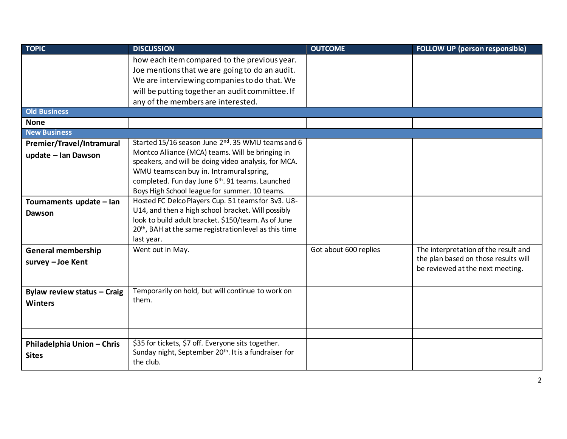| <b>TOPIC</b>                | <b>DISCUSSION</b>                                                  | <b>OUTCOME</b>        | <b>FOLLOW UP (person responsible)</b> |
|-----------------------------|--------------------------------------------------------------------|-----------------------|---------------------------------------|
|                             | how each item compared to the previous year.                       |                       |                                       |
|                             | Joe mentions that we are going to do an audit.                     |                       |                                       |
|                             | We are interviewing companies to do that. We                       |                       |                                       |
|                             | will be putting together an audit committee. If                    |                       |                                       |
|                             | any of the members are interested.                                 |                       |                                       |
| <b>Old Business</b>         |                                                                    |                       |                                       |
| <b>None</b>                 |                                                                    |                       |                                       |
| <b>New Business</b>         |                                                                    |                       |                                       |
| Premier/Travel/Intramural   | Started 15/16 season June 2 <sup>nd</sup> . 35 WMU teams and 6     |                       |                                       |
| update - Ian Dawson         | Montco Alliance (MCA) teams. Will be bringing in                   |                       |                                       |
|                             | speakers, and will be doing video analysis, for MCA.               |                       |                                       |
|                             | WMU teams can buy in. Intramural spring,                           |                       |                                       |
|                             | completed. Fun day June 6th. 91 teams. Launched                    |                       |                                       |
|                             | Boys High School league for summer. 10 teams.                      |                       |                                       |
| Tournaments update - Ian    | Hosted FC Delco Players Cup. 51 teams for 3v3. U8-                 |                       |                                       |
| Dawson                      | U14, and then a high school bracket. Will possibly                 |                       |                                       |
|                             | look to build adult bracket. \$150/team. As of June                |                       |                                       |
|                             | 20 <sup>th</sup> , BAH at the same registration level as this time |                       |                                       |
|                             | last year.                                                         |                       |                                       |
| <b>General membership</b>   | Went out in May.                                                   | Got about 600 replies | The interpretation of the result and  |
| survey - Joe Kent           |                                                                    |                       | the plan based on those results will  |
|                             |                                                                    |                       | be reviewed at the next meeting.      |
|                             |                                                                    |                       |                                       |
| Bylaw review status - Craig | Temporarily on hold, but will continue to work on                  |                       |                                       |
| <b>Winters</b>              | them.                                                              |                       |                                       |
|                             |                                                                    |                       |                                       |
|                             |                                                                    |                       |                                       |
|                             |                                                                    |                       |                                       |
| Philadelphia Union - Chris  | \$35 for tickets, \$7 off. Everyone sits together.                 |                       |                                       |
| <b>Sites</b>                | Sunday night, September 20 <sup>th</sup> . It is a fundraiser for  |                       |                                       |
|                             | the club.                                                          |                       |                                       |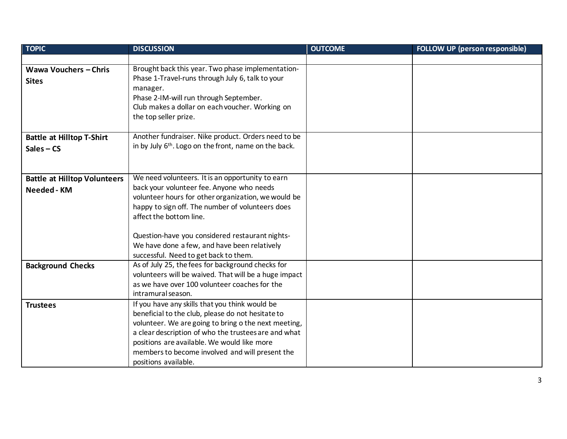| <b>TOPIC</b>                        | <b>DISCUSSION</b>                                                                                            | <b>OUTCOME</b> | <b>FOLLOW UP (person responsible)</b> |
|-------------------------------------|--------------------------------------------------------------------------------------------------------------|----------------|---------------------------------------|
|                                     |                                                                                                              |                |                                       |
| <b>Wawa Vouchers - Chris</b>        | Brought back this year. Two phase implementation-                                                            |                |                                       |
| <b>Sites</b>                        | Phase 1-Travel-runs through July 6, talk to your                                                             |                |                                       |
|                                     | manager.                                                                                                     |                |                                       |
|                                     | Phase 2-IM-will run through September.                                                                       |                |                                       |
|                                     | Club makes a dollar on each voucher. Working on                                                              |                |                                       |
|                                     | the top seller prize.                                                                                        |                |                                       |
|                                     |                                                                                                              |                |                                       |
| <b>Battle at Hilltop T-Shirt</b>    | Another fundraiser. Nike product. Orders need to be                                                          |                |                                       |
| $Sales - CS$                        | in by July 6 <sup>th</sup> . Logo on the front, name on the back.                                            |                |                                       |
|                                     |                                                                                                              |                |                                       |
|                                     |                                                                                                              |                |                                       |
| <b>Battle at Hilltop Volunteers</b> | We need volunteers. It is an opportunity to earn                                                             |                |                                       |
| Needed - KM                         | back your volunteer fee. Anyone who needs                                                                    |                |                                       |
|                                     | volunteer hours for other organization, we would be                                                          |                |                                       |
|                                     | happy to sign off. The number of volunteers does                                                             |                |                                       |
|                                     | affect the bottom line.                                                                                      |                |                                       |
|                                     |                                                                                                              |                |                                       |
|                                     | Question-have you considered restaurant nights-                                                              |                |                                       |
|                                     | We have done a few, and have been relatively                                                                 |                |                                       |
|                                     | successful. Need to get back to them.                                                                        |                |                                       |
| <b>Background Checks</b>            | As of July 25, the fees for background checks for                                                            |                |                                       |
|                                     | volunteers will be waived. That will be a huge impact                                                        |                |                                       |
|                                     | as we have over 100 volunteer coaches for the<br>intramural season.                                          |                |                                       |
|                                     |                                                                                                              |                |                                       |
| <b>Trustees</b>                     | If you have any skills that you think would be                                                               |                |                                       |
|                                     | beneficial to the club, please do not hesitate to                                                            |                |                                       |
|                                     | volunteer. We are going to bring o the next meeting,<br>a clear description of who the trustees are and what |                |                                       |
|                                     | positions are available. We would like more                                                                  |                |                                       |
|                                     |                                                                                                              |                |                                       |
|                                     | members to become involved and will present the<br>positions available.                                      |                |                                       |
|                                     |                                                                                                              |                |                                       |